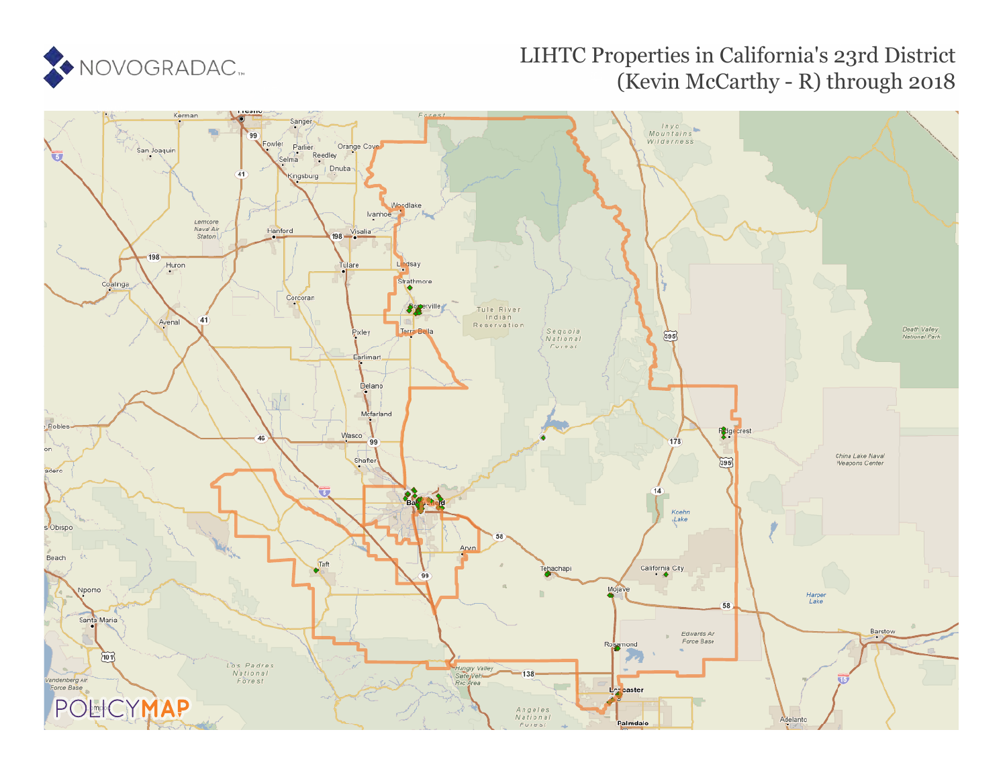

# LIHTC Properties in California's 23rd District (Kevin McCarthy - R) through 2018

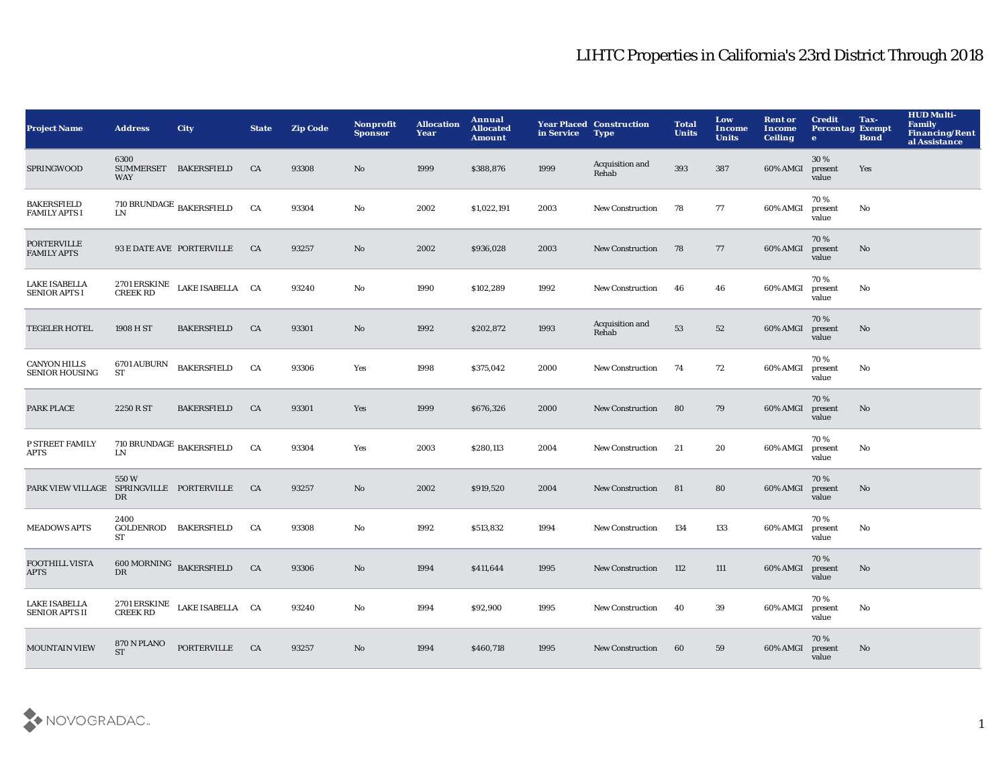| <b>Project Name</b>                           | <b>Address</b>                              | City                                | <b>State</b> | <b>Zip Code</b> | <b>Nonprofit</b><br><b>Sponsor</b> | <b>Allocation</b><br>Year | Annual<br><b>Allocated</b><br><b>Amount</b> | in Service | <b>Year Placed Construction</b><br><b>Type</b> | <b>Total</b><br><b>Units</b> | Low<br><b>Income</b><br><b>Units</b> | <b>Rent or</b><br>Income<br><b>Ceiling</b> | <b>Credit</b><br><b>Percentag Exempt</b><br>$\bullet$ | Tax-<br><b>Bond</b> | <b>HUD Multi-</b><br><b>Family</b><br><b>Financing/Rent</b><br>al Assistance |
|-----------------------------------------------|---------------------------------------------|-------------------------------------|--------------|-----------------|------------------------------------|---------------------------|---------------------------------------------|------------|------------------------------------------------|------------------------------|--------------------------------------|--------------------------------------------|-------------------------------------------------------|---------------------|------------------------------------------------------------------------------|
| SPRINGWOOD                                    | 6300<br><b>SUMMERSET</b><br><b>WAY</b>      | <b>BAKERSFIELD</b>                  | CA           | 93308           | No                                 | 1999                      | \$388,876                                   | 1999       | Acquisition and<br>Rehab                       | 393                          | 387                                  | 60% AMGI                                   | 30%<br>present<br>value                               | Yes                 |                                                                              |
| <b>BAKERSFIELD</b><br><b>FAMILY APTS I</b>    | $710$ BRUNDAGE $_{\rm \,BAKERSFIELD}$<br>LN |                                     | CA           | 93304           | No                                 | 2002                      | \$1,022,191                                 | 2003       | New Construction                               | 78                           | 77                                   | 60% AMGI                                   | 70%<br>present<br>value                               | No                  |                                                                              |
| <b>PORTERVILLE</b><br><b>FAMILY APTS</b>      |                                             | 93 E DATE AVE PORTERVILLE           | <b>CA</b>    | 93257           | No                                 | 2002                      | \$936,028                                   | 2003       | <b>New Construction</b>                        | 78                           | 77                                   | 60% AMGI                                   | 70 %<br>present<br>value                              | No                  |                                                                              |
| <b>LAKE ISABELLA</b><br><b>SENIOR APTS I</b>  | 2701 ERSKINE<br><b>CREEK RD</b>             | LAKE ISABELLA CA                    |              | 93240           | No                                 | 1990                      | \$102,289                                   | 1992       | New Construction                               | 46                           | 46                                   | 60% AMGI                                   | 70%<br>present<br>value                               | No                  |                                                                              |
| <b>TEGELER HOTEL</b>                          | 1908 H ST                                   | <b>BAKERSFIELD</b>                  | CA           | 93301           | No                                 | 1992                      | \$202,872                                   | 1993       | Acquisition and<br>Rehab                       | 53                           | 52                                   | 60% AMGI                                   | 70%<br>present<br>value                               | No                  |                                                                              |
| <b>CANYON HILLS</b><br><b>SENIOR HOUSING</b>  | <b>6701 AUBURN</b><br>ST                    | <b>BAKERSFIELD</b>                  | CA           | 93306           | Yes                                | 1998                      | \$375,042                                   | 2000       | <b>New Construction</b>                        | 74                           | 72                                   | 60% AMGI                                   | 70%<br>present<br>value                               | No                  |                                                                              |
| <b>PARK PLACE</b>                             | 2250 R ST                                   | <b>BAKERSFIELD</b>                  | CA           | 93301           | Yes                                | 1999                      | \$676,326                                   | 2000       | <b>New Construction</b>                        | 80                           | 79                                   | 60% AMGI                                   | 70%<br>present<br>value                               | No                  |                                                                              |
| P STREET FAMILY<br>APTS                       | ${\rm LN}$                                  | 710 BRUNDAGE $_{\rm BAKERSFIELD}$   | CA           | 93304           | Yes                                | 2003                      | \$280,113                                   | 2004       | <b>New Construction</b>                        | 21                           | 20                                   | 60% AMGI                                   | 70%<br>present<br>value                               | No                  |                                                                              |
| PARK VIEW VILLAGE SPRINGVILLE PORTERVILLE     | 550W<br>DR                                  |                                     | CA           | 93257           | No                                 | 2002                      | \$919,520                                   | 2004       | <b>New Construction</b>                        | 81                           | 80                                   | 60% AMGI                                   | 70 %<br>present<br>value                              | No                  |                                                                              |
| <b>MEADOWS APTS</b>                           | 2400<br>ST                                  | GOLDENROD BAKERSFIELD               | CA           | 93308           | No                                 | 1992                      | \$513,832                                   | 1994       | <b>New Construction</b>                        | 134                          | 133                                  | 60% AMGI                                   | 70%<br>present<br>value                               | No                  |                                                                              |
| FOOTHILL VISTA<br><b>APTS</b>                 | DR                                          | $600 \, \mbox{MORNING}$ BAKERSFIELD | CA           | 93306           | No                                 | 1994                      | \$411,644                                   | 1995       | <b>New Construction</b>                        | 112                          | 111                                  | 60% AMGI                                   | 70%<br>present<br>value                               | No                  |                                                                              |
| <b>LAKE ISABELLA</b><br><b>SENIOR APTS II</b> | <b>2701 ERSKINE</b><br><b>CREEK RD</b>      | LAKE ISABELLA CA                    |              | 93240           | No                                 | 1994                      | \$92,900                                    | 1995       | <b>New Construction</b>                        | 40                           | 39                                   | 60% AMGI                                   | 70%<br>present<br>value                               | No                  |                                                                              |
| <b>MOUNTAIN VIEW</b>                          | 870 N PLANO<br><b>ST</b>                    | <b>PORTERVILLE</b>                  | CA           | 93257           | N <sub>o</sub>                     | 1994                      | \$460,718                                   | 1995       | <b>New Construction</b>                        | 60                           | 59                                   | 60% AMGI                                   | 70%<br>present<br>value                               | No                  |                                                                              |

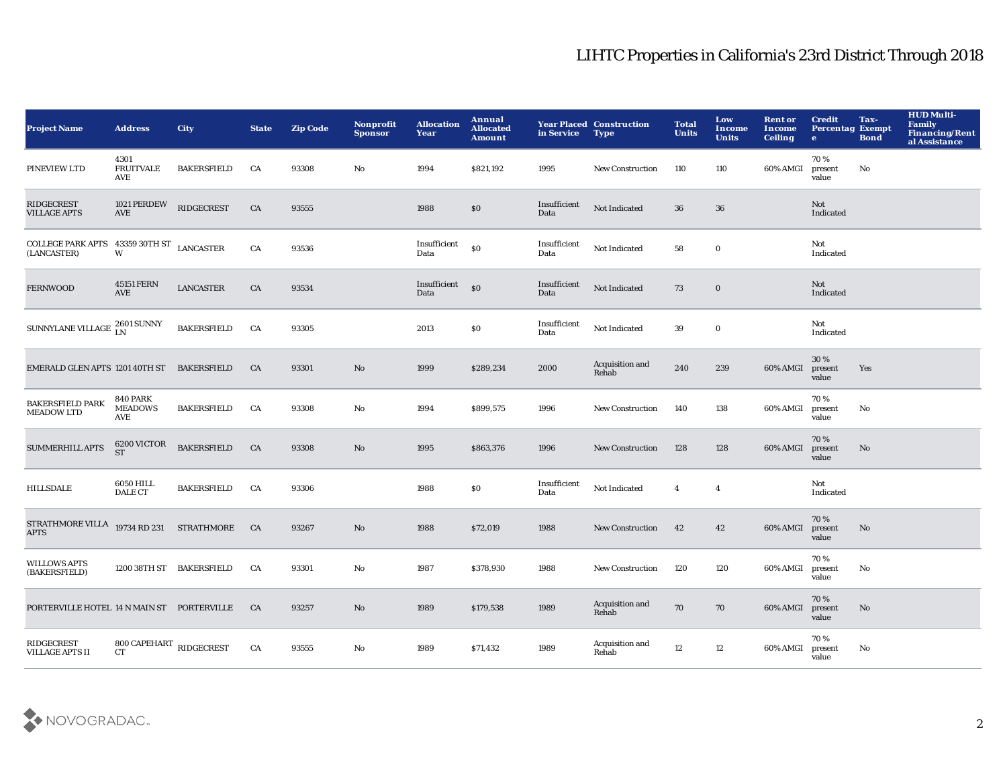| <b>Project Name</b>                                                                                                                                                                     | <b>Address</b>                            | <b>City</b>              | <b>State</b> | <b>Zip Code</b> | <b>Nonprofit</b><br><b>Sponsor</b> | <b>Allocation</b><br>Year | Annual<br><b>Allocated</b><br><b>Amount</b> | in Service           | <b>Year Placed Construction</b><br><b>Type</b> | <b>Total</b><br><b>Units</b> | Low<br><b>Income</b><br><b>Units</b> | <b>Rent or</b><br><b>Income</b><br><b>Ceiling</b> | <b>Credit</b><br><b>Percentag Exempt</b><br>$\bullet$ | Tax-<br><b>Bond</b>    | <b>HUD Multi-</b><br><b>Family</b><br>Financing/Rent<br>al Assistance |
|-----------------------------------------------------------------------------------------------------------------------------------------------------------------------------------------|-------------------------------------------|--------------------------|--------------|-----------------|------------------------------------|---------------------------|---------------------------------------------|----------------------|------------------------------------------------|------------------------------|--------------------------------------|---------------------------------------------------|-------------------------------------------------------|------------------------|-----------------------------------------------------------------------|
| PINEVIEW LTD                                                                                                                                                                            | 4301<br><b>FRUITVALE</b><br><b>AVE</b>    | <b>BAKERSFIELD</b>       | CA           | 93308           | No                                 | 1994                      | \$821,192                                   | 1995                 | New Construction                               | 110                          | 110                                  | 60% AMGI                                          | 70%<br>present<br>value                               | No                     |                                                                       |
| <b>RIDGECREST</b><br><b>VILLAGE APTS</b>                                                                                                                                                | 1021 PERDEW<br><b>AVE</b>                 | RIDGECREST               | CA           | 93555           |                                    | 1988                      | $\$0$                                       | Insufficient<br>Data | Not Indicated                                  | 36                           | 36                                   |                                                   | Not<br>Indicated                                      |                        |                                                                       |
| $\begin{array}{lll} \textbf{COLLEGE} \textbf{PARK} \textbf{ APTS} & \textbf{43359} \textbf{ 30TH} \textbf{ ST} & \textbf{LANCASTER} \\ \textbf{(LANCASTER)} & \textbf{W} & \end{array}$ |                                           |                          | ${\rm CA}$   | 93536           |                                    | Insufficient<br>Data      | $\$0$                                       | Insufficient<br>Data | Not Indicated                                  | 58                           | $\bf{0}$                             |                                                   | Not<br>Indicated                                      |                        |                                                                       |
| <b>FERNWOOD</b>                                                                                                                                                                         | <b>45151 FERN</b><br><b>AVE</b>           | <b>LANCASTER</b>         | CA           | 93534           |                                    | Insufficient<br>Data      | $\mathbf{S}$                                | Insufficient<br>Data | Not Indicated                                  | 73                           | $\bf{0}$                             |                                                   | Not<br>Indicated                                      |                        |                                                                       |
| SUNNYLANE VILLAGE $^{\,2601\,\rm{SUNNY}}_{\,\rm{LN}}$                                                                                                                                   |                                           | <b>BAKERSFIELD</b>       | CA           | 93305           |                                    | 2013                      | \$0                                         | Insufficient<br>Data | Not Indicated                                  | 39                           | $\bf{0}$                             |                                                   | Not<br>Indicated                                      |                        |                                                                       |
| EMERALD GLEN APTS 1201 40TH ST                                                                                                                                                          |                                           | <b>BAKERSFIELD</b>       | <b>CA</b>    | 93301           | No                                 | 1999                      | \$289,234                                   | 2000                 | Acquisition and<br>Rehab                       | 240                          | 239                                  | 60% AMGI                                          | 30%<br>present<br>value                               | Yes                    |                                                                       |
| <b>BAKERSFIELD PARK</b><br><b>MEADOW LTD</b>                                                                                                                                            | <b>840 PARK</b><br><b>MEADOWS</b><br>AVE  | <b>BAKERSFIELD</b>       | CA           | 93308           | No                                 | 1994                      | \$899,575                                   | 1996                 | <b>New Construction</b>                        | 140                          | 138                                  | 60% AMGI                                          | 70%<br>present<br>value                               | No                     |                                                                       |
| SUMMERHILL APTS                                                                                                                                                                         | 6200 VICTOR<br>ST                         | <b>BAKERSFIELD</b>       | CA           | 93308           | No                                 | 1995                      | \$863,376                                   | 1996                 | <b>New Construction</b>                        | 128                          | 128                                  | 60% AMGI                                          | 70%<br>present<br>value                               | No                     |                                                                       |
| <b>HILLSDALE</b>                                                                                                                                                                        | 6050 HILL<br><b>DALE CT</b>               | <b>BAKERSFIELD</b>       | CA           | 93306           |                                    | 1988                      | \$0                                         | Insufficient<br>Data | Not Indicated                                  | $\overline{4}$               | $\overline{4}$                       |                                                   | Not<br>Indicated                                      |                        |                                                                       |
| STRATHMORE VILLA<br><b>APTS</b>                                                                                                                                                         |                                           | 19734 RD 231 STRATHMORE  | CA           | 93267           | $\mathbf {No}$                     | 1988                      | \$72,019                                    | 1988                 | <b>New Construction</b>                        | 42                           | $42\,$                               | 60% AMGI                                          | 70%<br>present<br>value                               | $\mathbf{N}\mathbf{o}$ |                                                                       |
| <b>WILLOWS APTS</b><br>(BAKERSFIELD)                                                                                                                                                    |                                           | 1200 38TH ST BAKERSFIELD | CA           | 93301           | No                                 | 1987                      | \$378,930                                   | 1988                 | New Construction                               | 120                          | 120                                  | 60% AMGI                                          | 70%<br>present<br>value                               | No                     |                                                                       |
| PORTERVILLE HOTEL 14 N MAIN ST PORTERVILLE                                                                                                                                              |                                           |                          | <b>CA</b>    | 93257           | No                                 | 1989                      | \$179,538                                   | 1989                 | Acquisition and<br>Rehab                       | 70                           | 70                                   | 60% AMGI                                          | 70%<br>present<br>value                               | No                     |                                                                       |
| <b>RIDGECREST</b><br><b>VILLAGE APTS II</b>                                                                                                                                             | $800$ CAPEHART $_{\rm RIDGECREST}$<br>CT. |                          | CA           | 93555           | No                                 | 1989                      | \$71,432                                    | 1989                 | Acquisition and<br>Rehab                       | 12                           | 12                                   | 60% AMGI                                          | 70%<br>present<br>value                               | No                     |                                                                       |

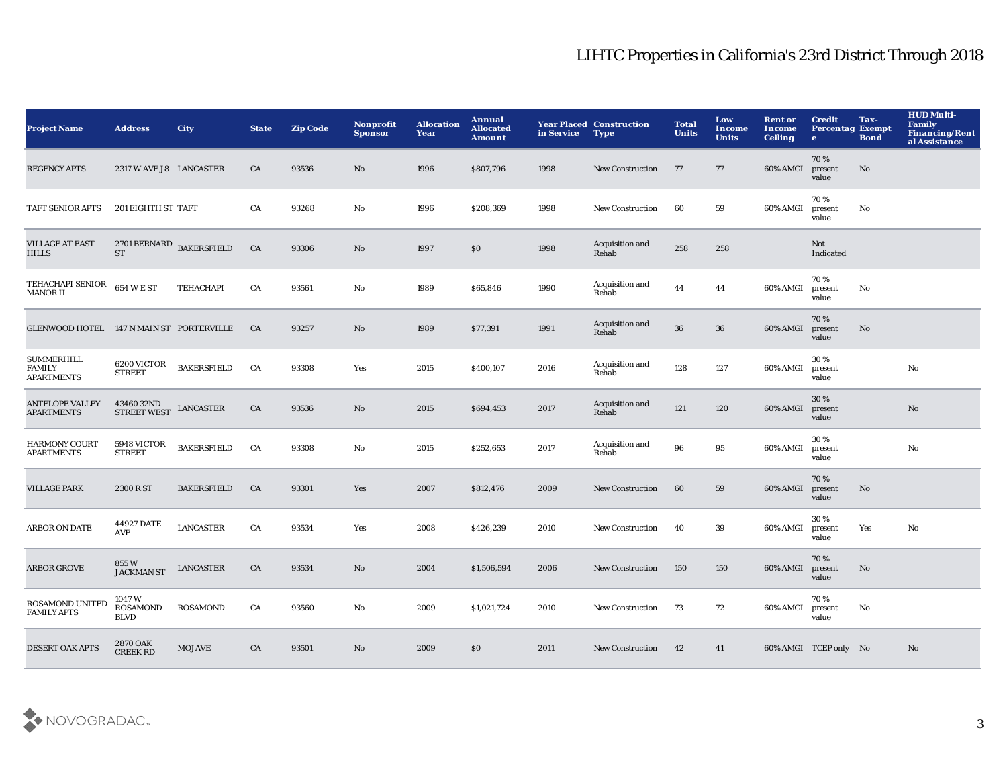| <b>Project Name</b>                                     | <b>Address</b>                                  | <b>City</b>        | <b>State</b> | <b>Zip Code</b> | <b>Nonprofit</b><br><b>Sponsor</b> | <b>Allocation</b><br>Year | Annual<br><b>Allocated</b><br><b>Amount</b> | in Service | <b>Year Placed Construction</b><br><b>Type</b> | <b>Total</b><br><b>Units</b> | Low<br>Income<br><b>Units</b> | <b>Rent or</b><br>Income<br><b>Ceiling</b> | <b>Credit</b><br><b>Percentag Exempt</b><br>$\bullet$ | Tax-<br><b>Bond</b> | <b>HUD Multi-</b><br><b>Family</b><br><b>Financing/Rent</b><br>al Assistance |
|---------------------------------------------------------|-------------------------------------------------|--------------------|--------------|-----------------|------------------------------------|---------------------------|---------------------------------------------|------------|------------------------------------------------|------------------------------|-------------------------------|--------------------------------------------|-------------------------------------------------------|---------------------|------------------------------------------------------------------------------|
| <b>REGENCY APTS</b>                                     | 2317 W AVE J8 LANCASTER                         |                    | CA           | 93536           | No                                 | 1996                      | \$807,796                                   | 1998       | <b>New Construction</b>                        | 77                           | 77                            | 60% AMGI                                   | 70%<br>present<br>value                               | No                  |                                                                              |
| TAFT SENIOR APTS                                        | 201 EIGHTH ST TAFT                              |                    | CA           | 93268           | $\rm No$                           | 1996                      | \$208,369                                   | 1998       | New Construction                               | 60                           | 59                            | 60% AMGI                                   | 70%<br>present<br>value                               | $\mathbf {No}$      |                                                                              |
| <b>VILLAGE AT EAST</b><br><b>HILLS</b>                  | $2701\,\mbox{BERNARD}$ BAKERSFIELD<br><b>ST</b> |                    | CA           | 93306           | $\rm No$                           | 1997                      | $\$0$                                       | 1998       | Acquisition and<br>Rehab                       | 258                          | 258                           |                                            | Not<br>Indicated                                      |                     |                                                                              |
| TEHACHAPI SENIOR<br><b>MANOR II</b>                     | $654\mathrm{~W}\to \mathrm{ST}$                 | TEHACHAPI          | CA           | 93561           | No                                 | 1989                      | \$65,846                                    | 1990       | Acquisition and<br>Rehab                       | 44                           | 44                            | 60% AMGI                                   | 70%<br>present<br>value                               | No                  |                                                                              |
| GLENWOOD HOTEL 147 N MAIN ST PORTERVILLE                |                                                 |                    | CA           | 93257           | $\mathbf{N}\mathbf{o}$             | 1989                      | \$77,391                                    | 1991       | Acquisition and<br>Rehab                       | 36                           | ${\bf 36}$                    | 60% AMGI                                   | 70%<br>present<br>value                               | No                  |                                                                              |
| <b>SUMMERHILL</b><br><b>FAMILY</b><br><b>APARTMENTS</b> | 6200 VICTOR<br><b>STREET</b>                    | <b>BAKERSFIELD</b> | CA           | 93308           | Yes                                | 2015                      | \$400,107                                   | 2016       | Acquisition and<br>Rehab                       | 128                          | 127                           | 60% AMGI                                   | 30%<br>present<br>value                               |                     | $\mathbf{N}\mathbf{o}$                                                       |
| <b>ANTELOPE VALLEY</b><br><b>APARTMENTS</b>             | 4346032ND<br><b>STREET WEST</b>                 | <b>LANCASTER</b>   | CA           | 93536           | $\rm No$                           | 2015                      | \$694,453                                   | 2017       | Acquisition and<br>Rehab                       | 121                          | 120                           | 60% AMGI                                   | 30%<br>present<br>value                               |                     | $\mathbf{N}\mathbf{o}$                                                       |
| <b>HARMONY COURT</b><br><b>APARTMENTS</b>               | 5948 VICTOR<br><b>STREET</b>                    | <b>BAKERSFIELD</b> | CA           | 93308           | No                                 | 2015                      | \$252,653                                   | 2017       | Acquisition and<br>Rehab                       | 96                           | 95                            | 60% AMGI                                   | 30 %<br>present<br>value                              |                     | No                                                                           |
| <b>VILLAGE PARK</b>                                     | 2300 R ST                                       | <b>BAKERSFIELD</b> | CA           | 93301           | Yes                                | 2007                      | \$812,476                                   | 2009       | <b>New Construction</b>                        | 60                           | 59                            | 60% AMGI                                   | 70%<br>present<br>value                               | No                  |                                                                              |
| <b>ARBOR ON DATE</b>                                    | 44927 DATE<br>AVE                               | <b>LANCASTER</b>   | ${\rm CA}$   | 93534           | Yes                                | 2008                      | \$426,239                                   | 2010       | <b>New Construction</b>                        | 40                           | 39                            | 60% AMGI                                   | 30%<br>present<br>value                               | Yes                 | No                                                                           |
| <b>ARBOR GROVE</b>                                      | 855 W<br>JACKMAN ST                             | <b>LANCASTER</b>   | CA           | 93534           | $\mathbf{N}\mathbf{o}$             | 2004                      | \$1,506,594                                 | 2006       | <b>New Construction</b>                        | 150                          | 150                           | 60% AMGI                                   | 70%<br>present<br>value                               | $\mathbf{No}$       |                                                                              |
| <b>ROSAMOND UNITED</b><br><b>FAMILY APTS</b>            | 1047W<br><b>ROSAMOND</b><br><b>BLVD</b>         | <b>ROSAMOND</b>    | CA           | 93560           | No                                 | 2009                      | \$1,021,724                                 | 2010       | New Construction                               | 73                           | 72                            | 60% AMGI                                   | 70%<br>present<br>value                               | No                  |                                                                              |
| <b>DESERT OAK APTS</b>                                  | <b>2870 OAK</b><br><b>CREEK RD</b>              | <b>MOJAVE</b>      | CA           | 93501           | No                                 | 2009                      | \$0                                         | 2011       | <b>New Construction</b>                        | 42                           | 41                            |                                            | 60% AMGI TCEP only No                                 |                     | N <sub>o</sub>                                                               |

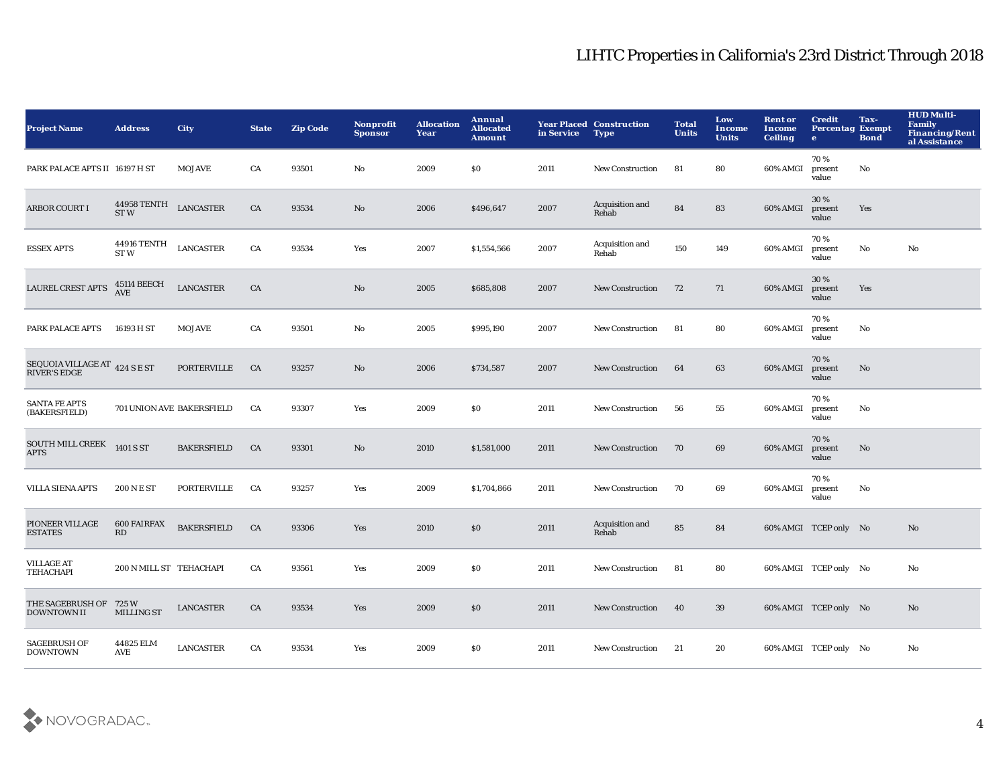| <b>Project Name</b>                                  | <b>Address</b>                   | City               | <b>State</b> | <b>Zip Code</b> | <b>Nonprofit</b><br><b>Sponsor</b> | <b>Allocation</b><br>Year | Annual<br><b>Allocated</b><br><b>Amount</b>      | in Service | <b>Year Placed Construction</b><br><b>Type</b> | <b>Total</b><br><b>Units</b> | Low<br>Income<br><b>Units</b> | <b>Rent or</b><br>Income<br><b>Ceiling</b> | <b>Credit</b><br><b>Percentag Exempt</b><br>$\bullet$ | Tax-<br><b>Bond</b> | <b>HUD Multi-</b><br><b>Family</b><br><b>Financing/Rent</b><br>al Assistance |
|------------------------------------------------------|----------------------------------|--------------------|--------------|-----------------|------------------------------------|---------------------------|--------------------------------------------------|------------|------------------------------------------------|------------------------------|-------------------------------|--------------------------------------------|-------------------------------------------------------|---------------------|------------------------------------------------------------------------------|
| PARK PALACE APTS II 16197 H ST                       |                                  | <b>MOJAVE</b>      | CA           | 93501           | No                                 | 2009                      | \$0                                              | 2011       | <b>New Construction</b>                        | 81                           | 80                            | 60% AMGI                                   | 70%<br>present<br>value                               | No                  |                                                                              |
| <b>ARBOR COURT I</b>                                 | 44958 TENTH<br>ST <sub>W</sub>   | <b>LANCASTER</b>   | CA           | 93534           | No                                 | 2006                      | \$496,647                                        | 2007       | Acquisition and<br>Rehab                       | 84                           | 83                            | 60% AMGI                                   | 30 %<br>present<br>value                              | Yes                 |                                                                              |
| <b>ESSEX APTS</b>                                    | <b>44916 TENTH</b><br>ST W       | <b>LANCASTER</b>   | CA           | 93534           | Yes                                | 2007                      | \$1,554,566                                      | 2007       | Acquisition and<br>Rehab                       | 150                          | 149                           | 60% AMGI                                   | 70%<br>present<br>value                               | $\mathbf {No}$      | $\mathbf{N}\mathbf{o}$                                                       |
| <b>LAUREL CREST APTS</b>                             | <b>45114 BEECH</b><br><b>AVE</b> | <b>LANCASTER</b>   | ${\rm CA}$   |                 | No                                 | 2005                      | \$685,808                                        | 2007       | <b>New Construction</b>                        | 72                           | 71                            | 60% AMGI                                   | 30%<br>present<br>value                               | Yes                 |                                                                              |
| PARK PALACE APTS                                     | 16193 H ST                       | <b>MOJAVE</b>      | CA           | 93501           | No                                 | 2005                      | \$995,190                                        | 2007       | New Construction                               | 81                           | 80                            | 60% AMGI                                   | 70%<br>present<br>value                               | No                  |                                                                              |
| SEQUOIA VILLAGE AT 424 S E ST<br><b>RIVER'S EDGE</b> |                                  | <b>PORTERVILLE</b> | CA           | 93257           | No                                 | 2006                      | \$734,587                                        | 2007       | <b>New Construction</b>                        | 64                           | 63                            | 60% AMGI                                   | 70%<br>present<br>value                               | No                  |                                                                              |
| <b>SANTA FE APTS</b><br>(BAKERSFIELD)                | 701 UNION AVE BAKERSFIELD        |                    | CA           | 93307           | Yes                                | 2009                      | \$0                                              | 2011       | <b>New Construction</b>                        | 56                           | 55                            | 60% AMGI                                   | 70%<br>present<br>value                               | No                  |                                                                              |
| <b>SOUTH MILL CREEK</b><br><b>APTS</b>               | 1401 S ST                        | <b>BAKERSFIELD</b> | CA           | 93301           | No                                 | 2010                      | \$1,581,000                                      | 2011       | <b>New Construction</b>                        | 70                           | 69                            | 60% AMGI                                   | 70%<br>present<br>value                               | No                  |                                                                              |
| <b>VILLA SIENA APTS</b>                              | <b>200 N E ST</b>                | PORTERVILLE        | CA           | 93257           | Yes                                | 2009                      | \$1,704,866                                      | 2011       | <b>New Construction</b>                        | 70                           | 69                            | 60% AMGI                                   | 70%<br>present<br>value                               | No                  |                                                                              |
| PIONEER VILLAGE<br><b>ESTATES</b>                    | <b>600 FAIRFAX</b><br>RD         | <b>BAKERSFIELD</b> | CA           | 93306           | Yes                                | 2010                      | $\$0$                                            | 2011       | Acquisition and<br>Rehab                       | 85                           | 84                            |                                            | 60% AMGI TCEP only No                                 |                     | No                                                                           |
| <b>VILLAGE AT</b><br><b>TEHACHAPI</b>                | 200 N MILL ST TEHACHAPI          |                    | CA           | 93561           | Yes                                | 2009                      | $\boldsymbol{\mathsf{S}}\boldsymbol{\mathsf{0}}$ | 2011       | New Construction                               | 81                           | 80                            |                                            | 60% AMGI TCEP only No                                 |                     | No                                                                           |
| THE SAGEBRUSH OF 725 W<br><b>DOWNTOWN II</b>         | <b>MILLING ST</b>                | <b>LANCASTER</b>   | CA           | 93534           | Yes                                | 2009                      | \$0                                              | 2011       | <b>New Construction</b>                        | 40                           | 39                            |                                            | 60% AMGI TCEP only No                                 |                     | No                                                                           |
| <b>SAGEBRUSH OF</b><br><b>DOWNTOWN</b>               | 44825 ELM<br>AVE                 | <b>LANCASTER</b>   | CA           | 93534           | Yes                                | 2009                      | S <sub>0</sub>                                   | 2011       | <b>New Construction</b>                        | 21                           | 20                            |                                            | 60% AMGI TCEP only No                                 |                     | No                                                                           |

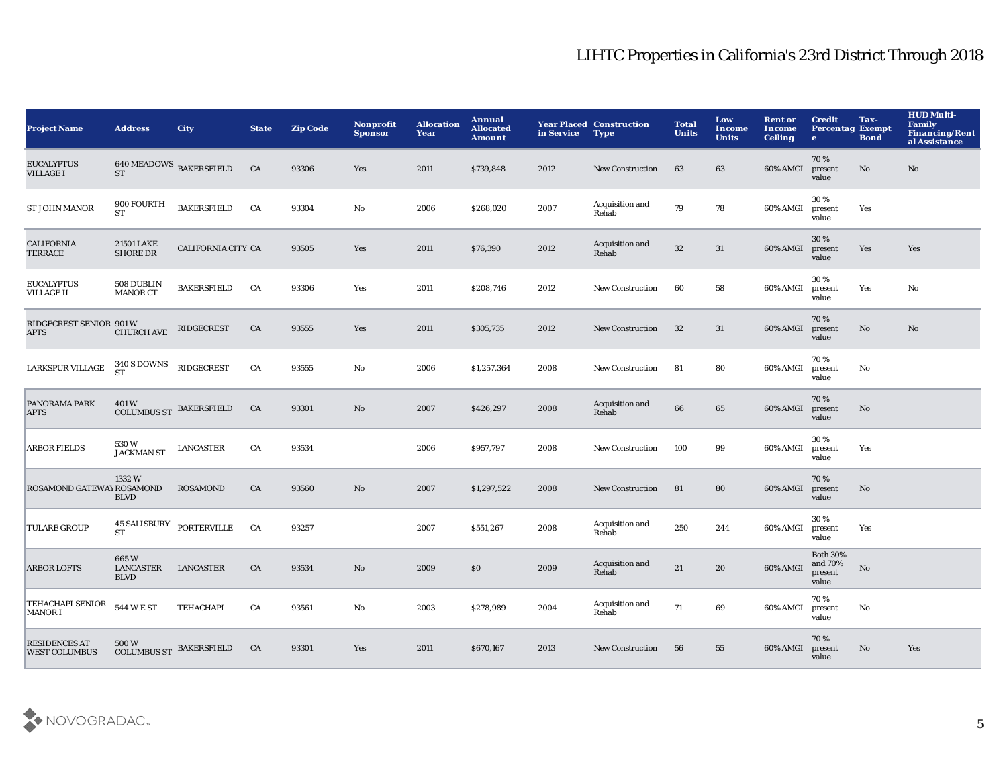| <b>Project Name</b>                          | <b>Address</b>                   | <b>City</b>                    | <b>State</b> | <b>Zip Code</b> | Nonprofit<br><b>Sponsor</b> | <b>Allocation</b><br>Year | Annual<br><b>Allocated</b><br><b>Amount</b> | in Service | <b>Year Placed Construction</b><br><b>Type</b> | <b>Total</b><br><b>Units</b> | Low<br>Income<br><b>Units</b> | <b>Rent or</b><br>Income<br><b>Ceiling</b> | <b>Credit</b><br><b>Percentag Exempt</b><br>$\bullet$ | Tax-<br><b>Bond</b> | <b>HUD Multi-</b><br><b>Family</b><br><b>Financing/Rent</b><br>al Assistance |
|----------------------------------------------|----------------------------------|--------------------------------|--------------|-----------------|-----------------------------|---------------------------|---------------------------------------------|------------|------------------------------------------------|------------------------------|-------------------------------|--------------------------------------------|-------------------------------------------------------|---------------------|------------------------------------------------------------------------------|
| <b>EUCALYPTUS</b><br><b>VILLAGE I</b>        | <b>ST</b>                        | $640\,\rm MEADOWS$ BAKERSFIELD | CA           | 93306           | Yes                         | 2011                      | \$739,848                                   | 2012       | <b>New Construction</b>                        | 63                           | 63                            | 60% AMGI                                   | 70%<br>present<br>value                               | No                  | No                                                                           |
| <b>ST JOHN MANOR</b>                         | 900 FOURTH<br>ST                 | <b>BAKERSFIELD</b>             | CA           | 93304           | $\mathbf {No}$              | 2006                      | \$268,020                                   | 2007       | Acquisition and<br>Rehab                       | 79                           | 78                            | 60% AMGI                                   | 30%<br>present<br>value                               | Yes                 |                                                                              |
| <b>CALIFORNIA</b><br><b>TERRACE</b>          | 21501 LAKE<br><b>SHORE DR</b>    | CALIFORNIA CITY CA             |              | 93505           | Yes                         | 2011                      | \$76,390                                    | 2012       | Acquisition and<br>Rehab                       | $32\,$                       | 31                            | 60% AMGI                                   | 30%<br>present<br>value                               | Yes                 | Yes                                                                          |
| <b>EUCALYPTUS</b><br><b>VILLAGE II</b>       | 508 DUBLIN<br><b>MANOR CT</b>    | <b>BAKERSFIELD</b>             | CA           | 93306           | Yes                         | 2011                      | \$208,746                                   | 2012       | <b>New Construction</b>                        | 60                           | 58                            | 60% AMGI                                   | 30%<br>present<br>value                               | Yes                 | No                                                                           |
| RIDGECREST SENIOR 901 W<br><b>APTS</b>       | <b>CHURCH AVE</b>                | <b>RIDGECREST</b>              | CA           | 93555           | Yes                         | 2011                      | \$305,735                                   | 2012       | <b>New Construction</b>                        | 32                           | 31                            | 60% AMGI                                   | 70%<br>present<br>value                               | No                  | No                                                                           |
| LARKSPUR VILLAGE                             | 340 S DOWNS<br><b>ST</b>         | <b>RIDGECREST</b>              | ${\rm CA}$   | 93555           | $\mathbf{No}$               | 2006                      | \$1,257,364                                 | 2008       | <b>New Construction</b>                        | 81                           | 80                            | 60% AMGI                                   | 70%<br>present<br>value                               | No                  |                                                                              |
| PANORAMA PARK<br><b>APTS</b>                 | 401W<br><b>COLUMBUS ST</b>       | <b>BAKERSFIELD</b>             | CA           | 93301           | $\mathbf{No}$               | 2007                      | \$426,297                                   | 2008       | Acquisition and<br>Rehab                       | 66                           | 65                            | 60% AMGI                                   | 70%<br>present<br>value                               | No                  |                                                                              |
| <b>ARBOR FIELDS</b>                          | 530W<br><b>JACKMAN ST</b>        | <b>LANCASTER</b>               | CA           | 93534           |                             | 2006                      | \$957,797                                   | 2008       | <b>New Construction</b>                        | 100                          | 99                            | 60% AMGI                                   | 30 %<br>present<br>value                              | Yes                 |                                                                              |
| ROSAMOND GATEWAY ROSAMOND                    | 1332 W<br><b>BLVD</b>            | <b>ROSAMOND</b>                | CA           | 93560           | No                          | 2007                      | \$1,297,522                                 | 2008       | <b>New Construction</b>                        | 81                           | 80                            | 60% AMGI                                   | 70%<br>present<br>value                               | No                  |                                                                              |
| <b>TULARE GROUP</b>                          | <b>45 SALISBURY</b><br><b>ST</b> | PORTERVILLE                    | CA           | 93257           |                             | 2007                      | \$551,267                                   | 2008       | Acquisition and<br>Rehab                       | 250                          | 244                           | 60% AMGI                                   | 30%<br>present<br>value                               | Yes                 |                                                                              |
| <b>ARBOR LOFTS</b>                           | 665W<br>LANCASTER<br><b>BLVD</b> | <b>LANCASTER</b>               | CA           | 93534           | No                          | 2009                      | \$0\$                                       | 2009       | Acquisition and<br>Rehab                       | 21                           | 20                            | 60% AMGI                                   | <b>Both 30%</b><br>and 70%<br>present<br>value        | $\mathbf {No}$      |                                                                              |
| TEHACHAPI SENIOR<br><b>MANORI</b>            | 544 W E ST                       | TEHACHAPI                      | CA           | 93561           | No                          | 2003                      | \$278,989                                   | 2004       | Acquisition and<br>Rehab                       | 71                           | 69                            | 60% AMGI                                   | 70%<br>present<br>value                               | No                  |                                                                              |
| <b>RESIDENCES AT</b><br><b>WEST COLUMBUS</b> | 500W<br>COLUMBUS ST BAKERSFIELD  |                                | CA           | 93301           | Yes                         | 2011                      | \$670,167                                   | 2013       | <b>New Construction</b>                        | 56                           | 55                            | 60% AMGI                                   | 70%<br>present<br>value                               | No                  | Yes                                                                          |

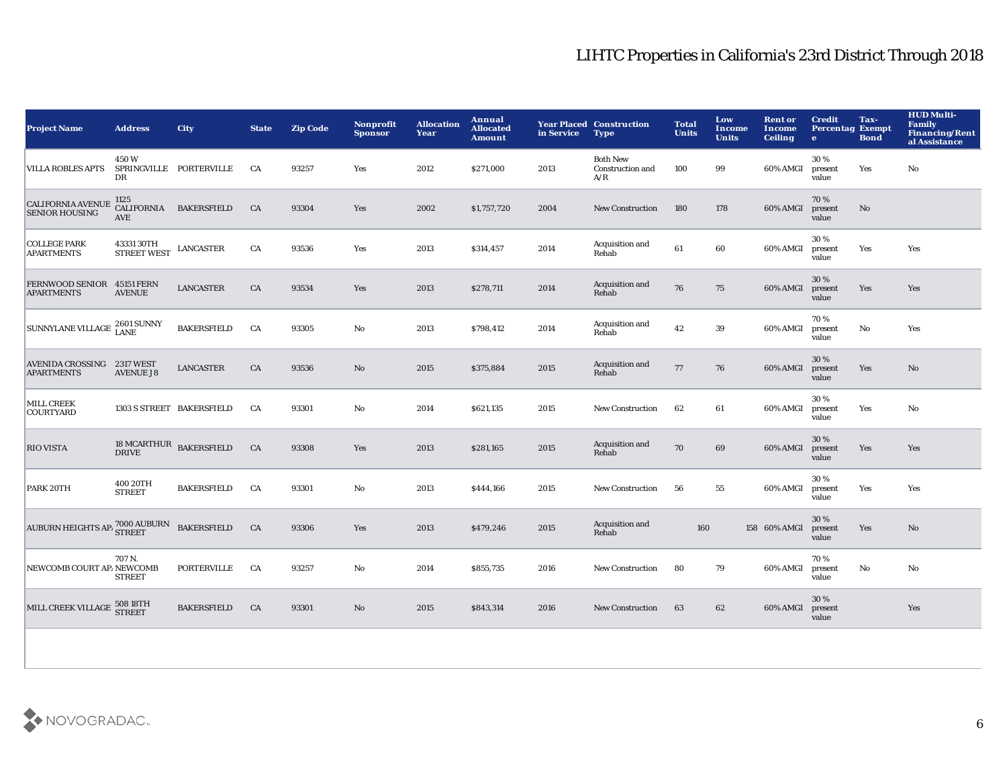| <b>Project Name</b>                               | <b>Address</b>                          | <b>City</b>               | <b>State</b> | <b>Zip Code</b> | <b>Nonprofit</b><br><b>Sponsor</b> | <b>Allocation</b><br>Year | Annual<br><b>Allocated</b><br><b>Amount</b> | in Service | <b>Year Placed Construction</b><br><b>Type</b> | <b>Total</b><br><b>Units</b> | Low<br>Income<br><b>Units</b> | <b>Rent or</b><br><b>Income</b><br><b>Ceiling</b> | <b>Credit</b><br><b>Percentag Exempt</b><br>$\mathbf{e}$ | Tax-<br><b>Bond</b>    | <b>HUD Multi-</b><br><b>Family</b><br><b>Financing/Rent</b><br>al Assistance |
|---------------------------------------------------|-----------------------------------------|---------------------------|--------------|-----------------|------------------------------------|---------------------------|---------------------------------------------|------------|------------------------------------------------|------------------------------|-------------------------------|---------------------------------------------------|----------------------------------------------------------|------------------------|------------------------------------------------------------------------------|
| <b>VILLA ROBLES APTS</b>                          | 450W<br>DR                              | SPRINGVILLE PORTERVILLE   | CA           | 93257           | Yes                                | 2012                      | \$271,000                                   | 2013       | <b>Both New</b><br>Construction and<br>A/R     | 100                          | 99                            | 60% AMGI                                          | 30%<br>present<br>value                                  | Yes                    | No                                                                           |
| <b>CALIFORNIA AVENUE</b><br><b>SENIOR HOUSING</b> | 1125<br><b>CALIFORNIA</b><br><b>AVE</b> | <b>BAKERSFIELD</b>        | CA           | 93304           | Yes                                | 2002                      | \$1,757,720                                 | 2004       | <b>New Construction</b>                        | 180                          | 178                           | 60% AMGI                                          | 70%<br>present<br>value                                  | No                     |                                                                              |
| <b>COLLEGE PARK</b><br><b>APARTMENTS</b>          | 43331 30TH<br>STREET WEST               | <b>LANCASTER</b>          | CA           | 93536           | Yes                                | 2013                      | \$314,457                                   | 2014       | Acquisition and<br>Rehab                       | 61                           | 60                            | 60% AMGI                                          | 30%<br>present<br>value                                  | Yes                    | Yes                                                                          |
| FERNWOOD SENIOR 45151 FERN<br><b>APARTMENTS</b>   | <b>AVENUE</b>                           | <b>LANCASTER</b>          | CA           | 93534           | <b>Yes</b>                         | 2013                      | \$278,711                                   | 2014       | Acquisition and<br>Rehab                       | 76                           | 75                            | 60% AMGI                                          | 30%<br>present<br>value                                  | Yes                    | Yes                                                                          |
| SUNNYLANE VILLAGE 2601 SUNNY                      |                                         | <b>BAKERSFIELD</b>        | CA           | 93305           | $\mathbf {No}$                     | 2013                      | \$798,412                                   | 2014       | Acquisition and<br>Rehab                       | 42                           | 39                            | 60% AMGI                                          | 70%<br>present<br>value                                  | $\mathbf{No}$          | Yes                                                                          |
| AVENIDA CROSSING 2317 WEST<br><b>APARTMENTS</b>   | <b>AVENUE J8</b>                        | <b>LANCASTER</b>          | CA           | 93536           | $\mathbf{No}$                      | 2015                      | \$375,884                                   | 2015       | Acquisition and<br>Rehab                       | 77                           | 76                            | 60% AMGI                                          | 30%<br>present<br>value                                  | Yes                    | No                                                                           |
| <b>MILL CREEK</b><br><b>COURTYARD</b>             |                                         | 1303 S STREET BAKERSFIELD | CA           | 93301           | No                                 | 2014                      | \$621,135                                   | 2015       | <b>New Construction</b>                        | 62                           | 61                            | 60% AMGI                                          | 30%<br>present<br>value                                  | Yes                    | No                                                                           |
| <b>RIO VISTA</b>                                  | <b>18 MCARTHUR</b><br><b>DRIVE</b>      | <b>BAKERSFIELD</b>        | CA           | 93308           | Yes                                | 2013                      | \$281,165                                   | 2015       | Acquisition and<br>Rehab                       | 70                           | 69                            | 60% AMGI                                          | 30%<br>present<br>value                                  | Yes                    | Yes                                                                          |
| PARK 20TH                                         | 400 20TH<br><b>STREET</b>               | <b>BAKERSFIELD</b>        | CA           | 93301           | No                                 | 2013                      | \$444,166                                   | 2015       | <b>New Construction</b>                        | 56                           | 55                            | 60% AMGI                                          | 30%<br>present<br>value                                  | Yes                    | Yes                                                                          |
| AUBURN HEIGHTS AP <sup>1</sup> STREET BAKERSFIELD |                                         |                           | CA           | 93306           | <b>Yes</b>                         | 2013                      | \$479,246                                   | 2015       | Acquisition and<br>Rehab                       | 160                          |                               | 158 60% AMGI                                      | 30%<br>present<br>value                                  | Yes                    | No                                                                           |
| NEWCOMB COURT AP/NEWCOMB                          | 707 N.<br><b>STREET</b>                 | <b>PORTERVILLE</b>        | CA           | 93257           | $\mathbf{N}\mathbf{o}$             | 2014                      | \$855,735                                   | 2016       | <b>New Construction</b>                        | 80                           | 79                            | 60% AMGI                                          | 70%<br>present<br>value                                  | $\mathbf{N}\mathbf{o}$ | No                                                                           |
| MILL CREEK VILLAGE 508 18TH                       |                                         | <b>BAKERSFIELD</b>        | CA           | 93301           | No                                 | 2015                      | \$843,314                                   | 2016       | <b>New Construction</b>                        | 63                           | 62                            | 60% AMGI                                          | 30 %<br>present<br>value                                 |                        | Yes                                                                          |
|                                                   |                                         |                           |              |                 |                                    |                           |                                             |            |                                                |                              |                               |                                                   |                                                          |                        |                                                                              |